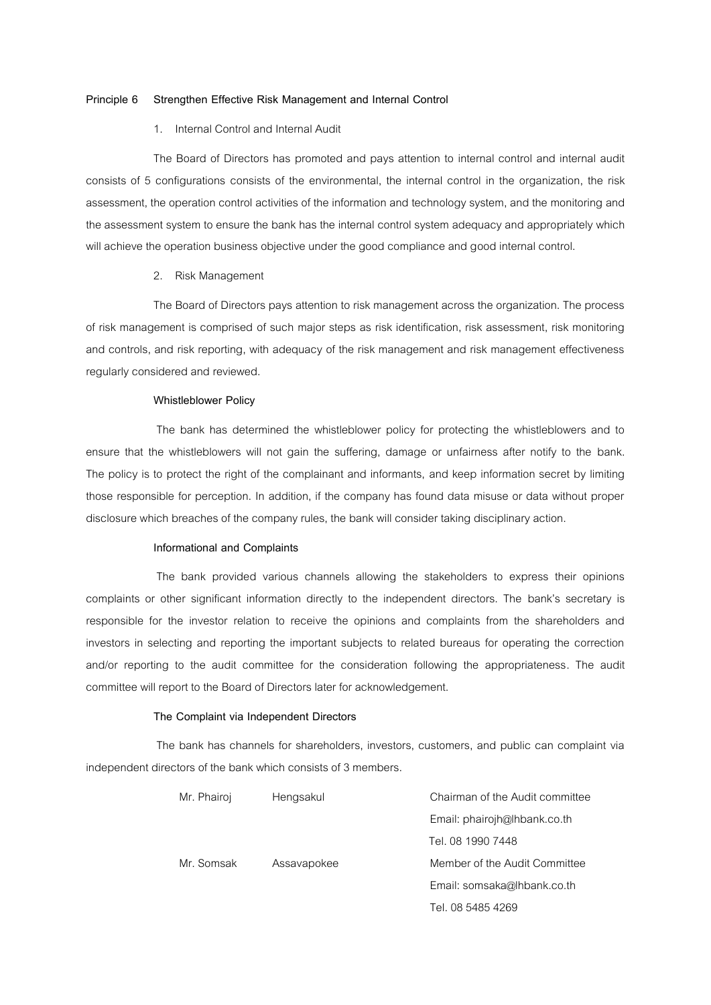# **Principle 6 Strengthen Effective Risk Management and Internal Control**

### 1. Internal Control and Internal Audit

The Board of Directors has promoted and pays attention to internal control and internal audit consists of 5 configurations consists of the environmental, the internal control in the organization, the risk assessment, the operation control activities of the information and technology system, and the monitoring and the assessment system to ensure the bank has the internal control system adequacy and appropriately which will achieve the operation business objective under the good compliance and good internal control.

## 2. Risk Management

The Board of Directors pays attention to risk management across the organization. The process of risk management is comprised of such major steps as risk identification, risk assessment, risk monitoring and controls, and risk reporting, with adequacy of the risk management and risk management effectiveness regularly considered and reviewed.

### **Whistleblower Policy**

The bank has determined the whistleblower policy for protecting the whistleblowers and to ensure that the whistleblowers will not gain the suffering, damage or unfairness after notify to the bank. The policy is to protect the right of the complainant and informants, and keep information secret by limiting those responsible for perception. In addition, if the company has found data misuse or data without proper disclosure which breaches of the company rules, the bank will consider taking disciplinary action.

# **Informational and Complaints**

 The bank provided various channels allowing the stakeholders to express their opinions complaints or other significant information directly to the independent directors. The bank's secretary is responsible for the investor relation to receive the opinions and complaints from the shareholders and investors in selecting and reporting the important subjects to related bureaus for operating the correction and/or reporting to the audit committee for the consideration following the appropriateness. The audit committee will report to the Board of Directors later for acknowledgement.

# **The Complaint via Independent Directors**

 The bank has channels for shareholders, investors, customers, and public can complaint via independent directors of the bank which consists of 3 members.

| Mr. Phairoj | Hengsakul   | Chairman of the Audit committee |
|-------------|-------------|---------------------------------|
|             |             | Email: phairojh@lhbank.co.th    |
|             |             | Tel. 08 1990 7448               |
| Mr. Somsak  | Assavapokee | Member of the Audit Committee   |
|             |             | Email: somsaka@lhbank.co.th     |

Tel.08 5485 4269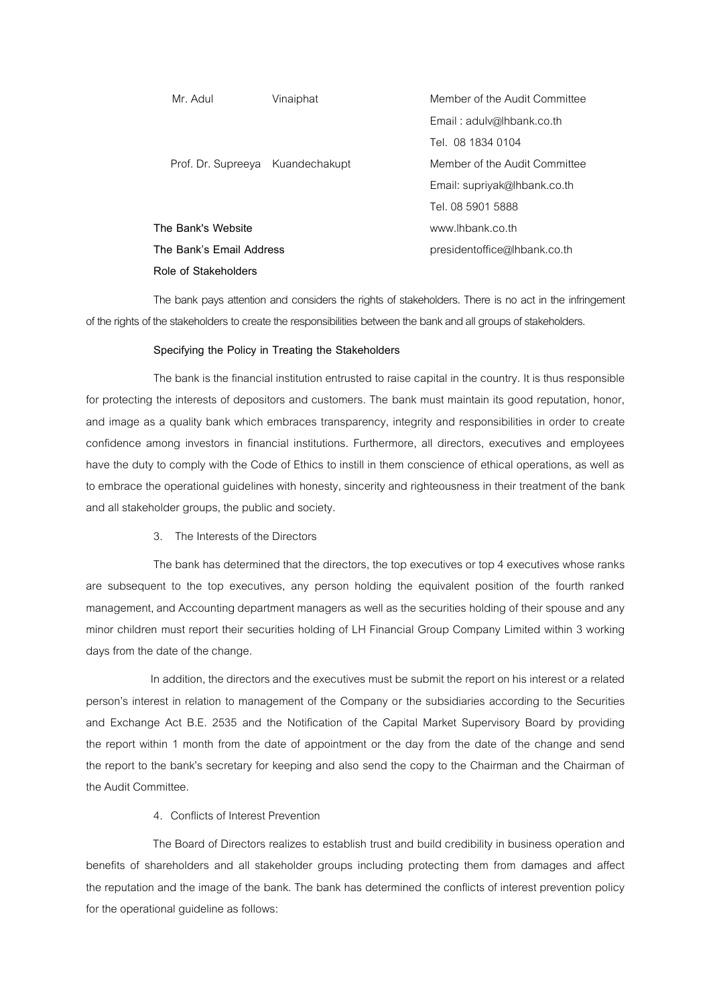| Mr. Adul                         | Vinaiphat | Member of the Audit Committee |
|----------------------------------|-----------|-------------------------------|
|                                  |           | Email: adulv@lhbank.co.th     |
|                                  |           | Tel. 08 1834 0104             |
| Prof. Dr. Supreeya Kuandechakupt |           | Member of the Audit Committee |
|                                  |           | Email: supriyak@lhbank.co.th  |
|                                  |           | Tel. 08 5901 5888             |
| The Bank's Website               |           | www.lhbank.co.th              |
| The Bank's Email Address         |           | presidentoffice@lhbank.co.th  |
| Role of Stakeholders             |           |                               |

The bank pays attention and considers the rights of stakeholders. There is no act in the infringement of the rights of the stakeholders to create the responsibilities between the bankand all groups of stakeholders.

# **Specifying the Policy in Treating the Stakeholders**

The bank is the financial institution entrusted to raise capital in the country. It is thus responsible for protecting the interests of depositors and customers. The bank must maintain its good reputation, honor, and image as a quality bank which embraces transparency, integrity and responsibilities in order to create confidence among investors in financial institutions. Furthermore, all directors, executives and employees have the duty to comply with the Code of Ethics to instill in them conscience of ethical operations, as well as to embrace the operational guidelines with honesty, sincerity and righteousness in their treatment of the bank and all stakeholder groups, the public and society.

3. The Interests of the Directors

The bank has determined that the directors, the top executives or top 4 executives whose ranks are subsequent to the top executives, any person holding the equivalent position of the fourth ranked management, and Accounting department managers as well as the securities holding of their spouse and any minor children must report their securities holding of LH Financial Group Company Limited within 3 working days from the date of the change.

In addition, the directors and the executives must be submit the report on his interest or a related person's interest in relation to management of the Company or the subsidiaries according to the Securities and Exchange Act B.E. 2535 and the Notification of the Capital Market Supervisory Board by providing the report within 1 month from the date of appointment or the day from the date of the change and send the report to the bank's secretary for keeping and also send the copy to the Chairman and the Chairman of the Audit Committee.

# 4. Conflicts of Interest Prevention

 The Board of Directors realizes to establish trust and build credibility in business operation and benefits of shareholders and all stakeholder groups including protecting them from damages and affect the reputation and the image of the bank. The bank has determined the conflicts of interest prevention policy for the operational guideline as follows: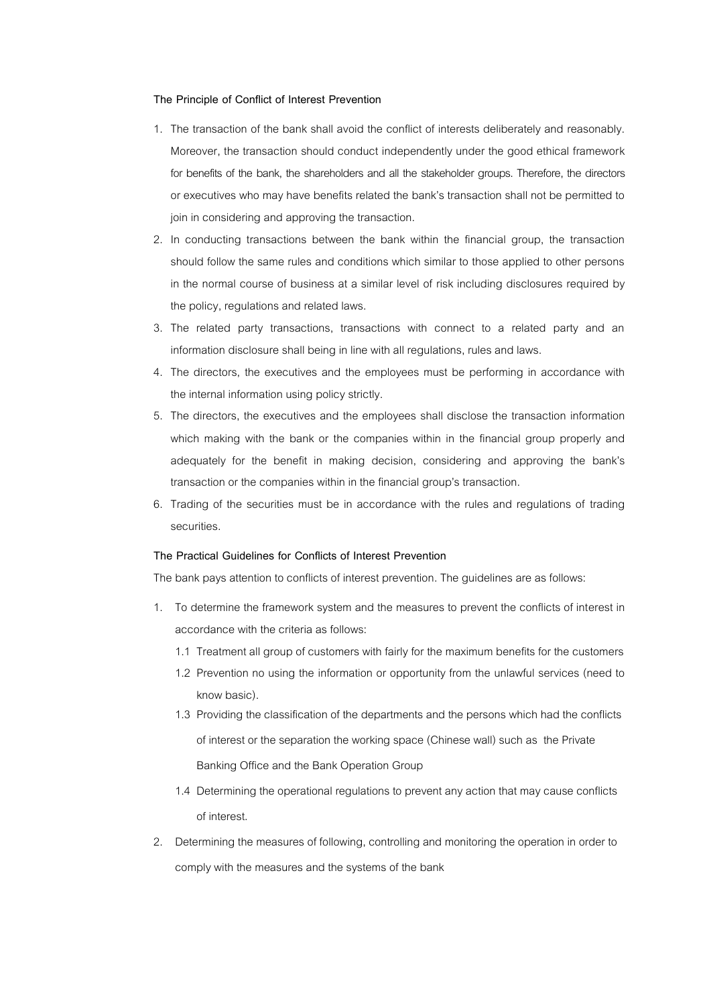# **The Principle of Conflict of Interest Prevention**

- 1. The transaction of the bank shall avoid the conflict of interests deliberately and reasonably. Moreover, the transaction should conduct independently under the good ethical framework for benefits of the bank, the shareholders and all the stakeholder groups. Therefore, the directors or executives who may have benefits related the bank's transaction shall not be permitted to join in considering and approving the transaction.
- 2. In conducting transactions between the bank within the financial group, the transaction should follow the same rules and conditions which similar to those applied to other persons in the normal course of business at a similar level of risk including disclosures required by the policy, regulations and related laws.
- 3. The related party transactions, transactions with connect to a related party and an information disclosure shall being in line with all regulations, rules and laws.
- 4. The directors, the executives and the employees must be performing in accordance with the internal information using policy strictly.
- 5. The directors, the executives and the employees shall disclose the transaction information which making with the bank or the companies within in the financial group properly and adequately for the benefit in making decision, considering and approving the bank's transaction or the companies within in the financial group's transaction.
- 6. Trading of the securities must be in accordance with the rules and regulations of trading securities.

# **The Practical Guidelines for Conflicts of Interest Prevention**

The bank pays attention to conflicts of interest prevention. The guidelines are as follows:

- 1. To determine the framework system and the measures to prevent the conflicts of interest in accordance with the criteria as follows:
	- 1.1 Treatment all group of customers with fairly for the maximum benefits for the customers
	- 1.2 Prevention no using the information or opportunity from the unlawful services (need to know basic).
	- 1.3 Providing the classification of the departments and the persons which had the conflicts of interest or the separation the working space (Chinese wall) such as the Private Banking Office and the Bank Operation Group
	- 1.4 Determining the operational regulations to prevent anyaction that may cause conflicts of interest.
- 2. Determining the measures of following, controlling and monitoring the operation in order to comply with the measures and the systems of the bank